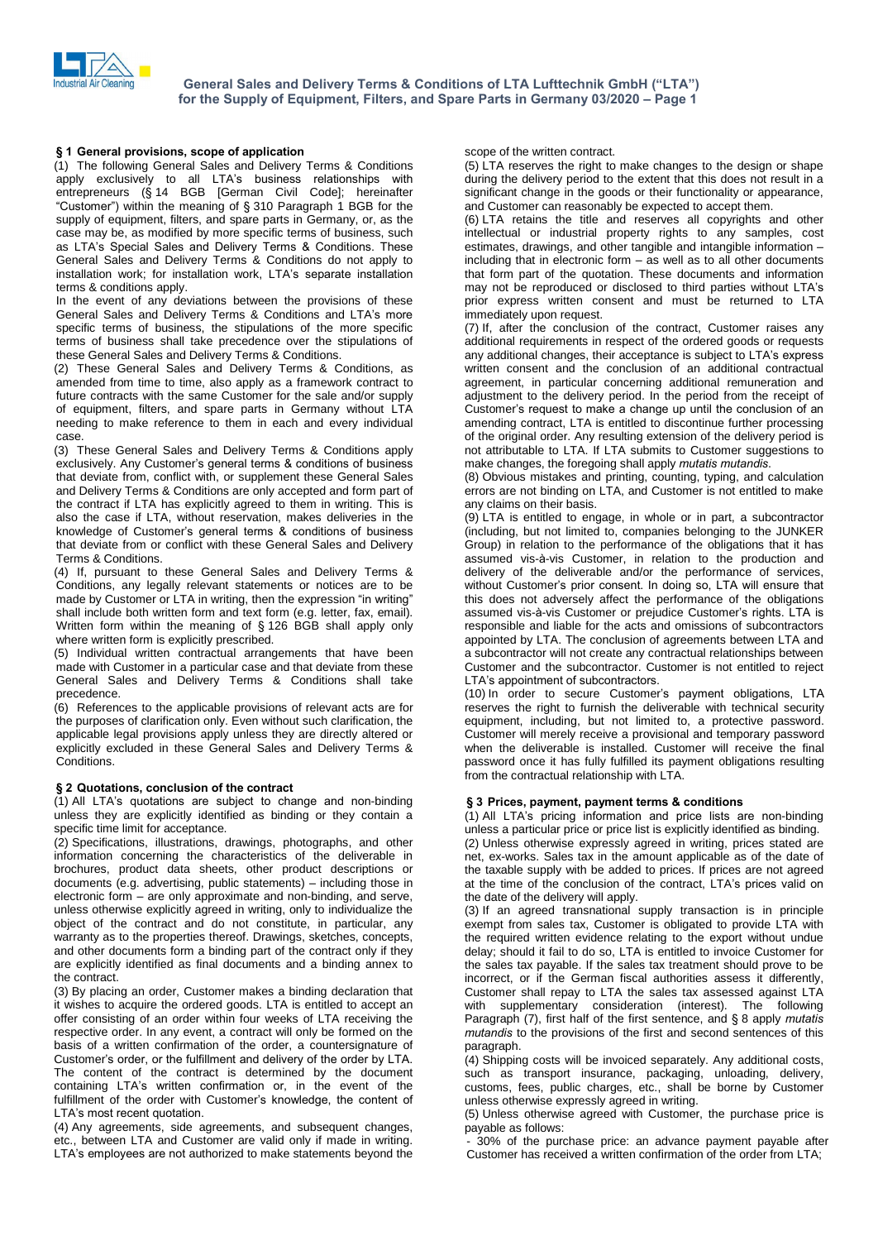

# **<sup>1</sup> General provisions, scope of application**

(1) The following General Sales and Delivery Terms & Conditions **§ 1 General provisions, scope of application**<br>(1) The following General Sales and Delivery Terms & Conditions<br>apply exclusively to all LTA's business relationships with 1) The following General Sales and Delivery Terms & Conditions<br>apply exclusively to all LTA's business relationships with<br>entrepreneurs (§ 14 BGB [German Civil Code]; hereinafter <sup>2</sup> in the meaning the meaning of Santa Civil Code]; hereinafter entrepreneurs (§ 14 BGB [German Civil Code]; hereinafter "Customer") within the meaning of § 310 Paragraph 1 BGB for the supply of equipment, filters, and spare parts in Germany, or, as the case may be, as modified by more specific terms of business, such "Customer") within the meaning of § 310 Paragraph 1 BGB for the supply of equipment, filters, and spare parts in Germany, or, as the case may be, as modified by more specific terms of business, such as LTA's Special Sales General Sales and Delivery Terms & Conditions do not apply to installation work; for installation work, LTA's separate installation terms & conditions apply.

In the event of any deviations between the provisions of these Frems & conditions apply.<br>In the event of any deviations between the provisions of these<br>General Sales and Delivery Terms & Conditions and LTA's more specific terms of business, the stipulations of the more specific terms of business shall take precedence over the stipulations of these General Sales and Delivery Terms & Conditions.

(2) These General Sales and Delivery Terms & Conditions, as amended from time to time, also apply as a framework contract to future contracts with the same Customer for the sale and/or supply of equipment, filters, and spare parts in Germany without LTA Customer's request to make a change up until the conclusion of an needing to make reference to them in each and every individual case.

(3) These General Sales and Delivery Terms & Conditions apply resouring to make researched to them in each and overy manufacture.<br>Case.<br>(3) These General Sales and Delivery Terms & Conditions apply<br>exclusively. Any Customer's general terms & conditions of business that deviate from, conflict with, or supplement these General Sales and Delivery Terms & Conditions are only accepted and form part of the contract if LTA has explicitly agreed to them in writing. This is also the case if LTA, without reservation, makes deliveries in the knowledge of Customerís general terms & conditions of business that deviate from or conflict with these General Sales and Delivery Terms & Conditions.

(4) If, pursuant to these General Sales and Delivery Terms & d<br>Conditions, any legally relevant statements or notices are to be w<br>made by Customer or LTA in writing, then the expression "in writing" Conditions, any legally relevant statements or notices are to be made by Customer or LTA in writing, then the expression "in writing" shall include both written form and text form (e.g. letter, fax, email). existing and by Customer or LTA in writing, then the expression "in writing"<br>shall include both written form and text form (e.g. letter, fax, email).<br>Written form within the meaning of § 126 BGB shall apply only Written form within the meaning of § 126 BGB shall apply only where written form is explicitly prescribed.

(5) Individual written contractual arrangements that have been made with Customer in a particular case and that deviate from these General Sales and Delivery Terms & Conditions shall take precedence.

(6) References to the applicable provisions of relevant acts are for the purposes of clarification only. Even without such clarification, the applicable legal provisions apply unless they are directly altered or explicitly excluded in these General Sales and Delivery Terms & Conditions. **<sup>ß</sup>**

### **<sup>2</sup> Quotations, conclusion of the contract**

(1) All LTAís quotations are subject to change and non-binding unless they are explicitly identified as binding or they contain a specific time limit for acceptance.

(2) Specifications, illustrations, drawings, photographs, and other information concerning the characteristics of the deliverable in brochures, product data sheets, other product descriptions or documents (e.g. advertising, the characteristics of the deliverable in<br>brochures, product data sheets, other product descriptions or<br>documents (e.g. advertising, public statements) – including those in brochures, product data sheets, other product descriptions or documents (e.g. advertising, public statements) – including those in electronic form – are only approximate and non-binding, and serve, unless otherwise explicitly agreed in writing, only to individualize the object of the contract and do not constitute, in particular, any warranty as to the properties thereof. Drawings, sketches, concepts, and other documents form a binding part of the contract only if they are explicitly identified as final documents and a binding annex to the contract.

(3) By placing an order, Customer makes a binding declaration that it wishes to acquire the ordered goods. LTA is entitled to accept an offer consisting of an order within four weeks of LTA receiving the respective order. In any event, a contract will only be formed on the basis of a written confirmation of the order, a countersignature of Customer's order, or the fulfillment and delivery of the order by LTA. The content of the contract is determined by the document Customer's order, or the fulfillment and delivery of the order by LTA.<br>The content of the contract is determined by the document<br>containing LTA's written confirmation or, in the event of the The content of the contract is determined by the document<br>containing LTA's written confirmation or, in the event of the<br>fulfillment of the order with Customer's knowledge, the content of containing LTA's written confirmation or, in the event of the fulfillment of the order with Customer's knowledge, the content of LTA's most recent quotation.

Firity incorrection and customers, and subsequent changes, etc., between LTA and Customer are valid only if made in writing.<br>LTA's employees are not authorized to make statements beyond the<br>LTA's employees are not authoriz etc., between LTA and Customer are valid only if made in writing.

scope of the written contract.

(5) LTA reserves the right to make changes to the design or shape during the delivery period to the extent that this does not result in a significant change in the goods or their functionality or appearance, and Customer can reasonably be expected to accept them.

(6) LTA retains the title and reserves all copyrights and other intellectual or industrial property rights to any samples, cost (6) LTA retains the title and reserves all copyrights and other intellectual or industrial property rights to any samples, cost estimates, drawings, and other tangible and intangible information – intellectual or industrial property rights to any samples, cost estimates, drawings, and other tangible and intangible information –<br>including that in electronic form – as well as to all other documents that form part of the quotation. These documents and information estimates, drawings, and other tangible and intangible information  $-$  including that in electronic form  $-$  as well as to all other documents that form part of the quotation. These documents and information may not be re prior express written consent and must be returned to LTA immediately upon request.

(7) If, after the conclusion of the contract, Customer raises any additional requirements in respect of the ordered goods or requests any additional changes, their acceptance is subject to LTA $\dot{\text{c}}$  sexpress additional requirements in respect of the ordered goods or requests written consent and the conclusion of an additional contractual agreement, in particular concerning additional remuneration and adjustment to the delivery period. In the period from the receipt of agreement, in particular concerning additional remuneration and adjustment to the delivery period. In the period from the receipt of Customer's request to make a change up until the conclusion of an amending contract, LTA is entitled to discontinue further processing of the original order. Any resulting extension of the delivery period is not attributable to LTA. If LTA submits to Customer suggestions to make changes, the foregoing shall apply *mutatis mutandis*. not attributable to LTA. If LTA submits to Customer suggestions to

(8) Obvious mistakes and printing, counting, typing, and calculation errors are not binding on LTA, and Customer is not entitled to make any claims on their basis.

 $(9)$  LTA is entitled to engage, in whole or in part, a subcontractor (including, but not limited to, companies belonging to the JUNKER<br>Group) in relation to the performance of the obligations that it has<br>assumed vis-à-vis Customer, in relation to the production and Group) in relation to the performance of the obligations that it has delivery of the deliverable and/or the performance of services, assumed vis-a-vis Customer, in relation to the production and delivery of the deliverable and/or the performance of services, without Customer's prior consent. In doing so, LTA will ensure that this does not adversely affect the performance of the obligations assumed vis-à-vis Customer or prejudice Customer's rights. LTA is without Customer's prior consent. In doing so, LTA will ensure that responsible and liable for the acts and omissions of subcontractors appointed by LTA. The conclusion of agreements between LTA and a subcontractor will not create any contractual relationships between Customer and the subcontractor. Customer is not entitled to reject La subcontractor will not create any contractors.<br>Customer and the subcontractor. Custom<br>LTA's appointment of subcontractors. Sustomer and the subcontractor. Customer is not entitled to reject<br>LTA's appointment of subcontractors.<br>(10) In order to secure Customer's payment obligations, LTA

reserves the right to furnish the deliverable with technical security equipment, including, but not limited to, a protective password. Customer will merely receive a provisional and temporary password when the deliverable is installed. Customer will receive the final password once it has fully fulfilled its payment obligations resulting from the contractual relationship with LTA. **ß**

## **<sup>3</sup> Prices, payment, payment terms & conditions**

(1) All LTAís pricing information and price lists are non-binding unless a particular price or price list is explicitly identified as binding. (2) Unless otherwise expressly agreed in writing, prices stated are net, ex-works. Sales tax in the amount applicable as of the date of the taxable supply with be added to prices. If prices are not agreed ex-works. Sales tax in the amount applicable as of the date of the taxable supply with be added to prices. If prices are not agreed at the time of the conclusion of the contract, LTA's prices valid on the date of the delivery will apply.

(3) If an agreed transnational supply transaction is in principle exempt from sales tax, Customer is obligated to provide LTA with the required written evidence relating to the export without undue delay; should it fail to do so, LTA is entitled to invoice Customer for the sales tax payable. If the sales tax treatment should prove to be incorrect, or if the German fiscal authorities assess it differently, Customer shall repay to LTA the sales tax assessed against LTA with supplementary consideration (interest). The following Paragraph  $(7)$ , first half of the first sentence, and § 8 apply mutatis mutandis to the provisions of the first and second sentences of this paragraph.

(4) Shipping costs will be invoiced separately. Any additional costs, such as transport insurance, packaging, unloading, delivery, customs, fees, public charges, etc., shall be borne by Customer unless otherwise expressly agreed in writing.

(5) Unless otherwise agreed with Customer, the purchase price is payable as follows:

30% of the purchase price: an advance payment payable after Customer has received a written confirmation of the order from LTA;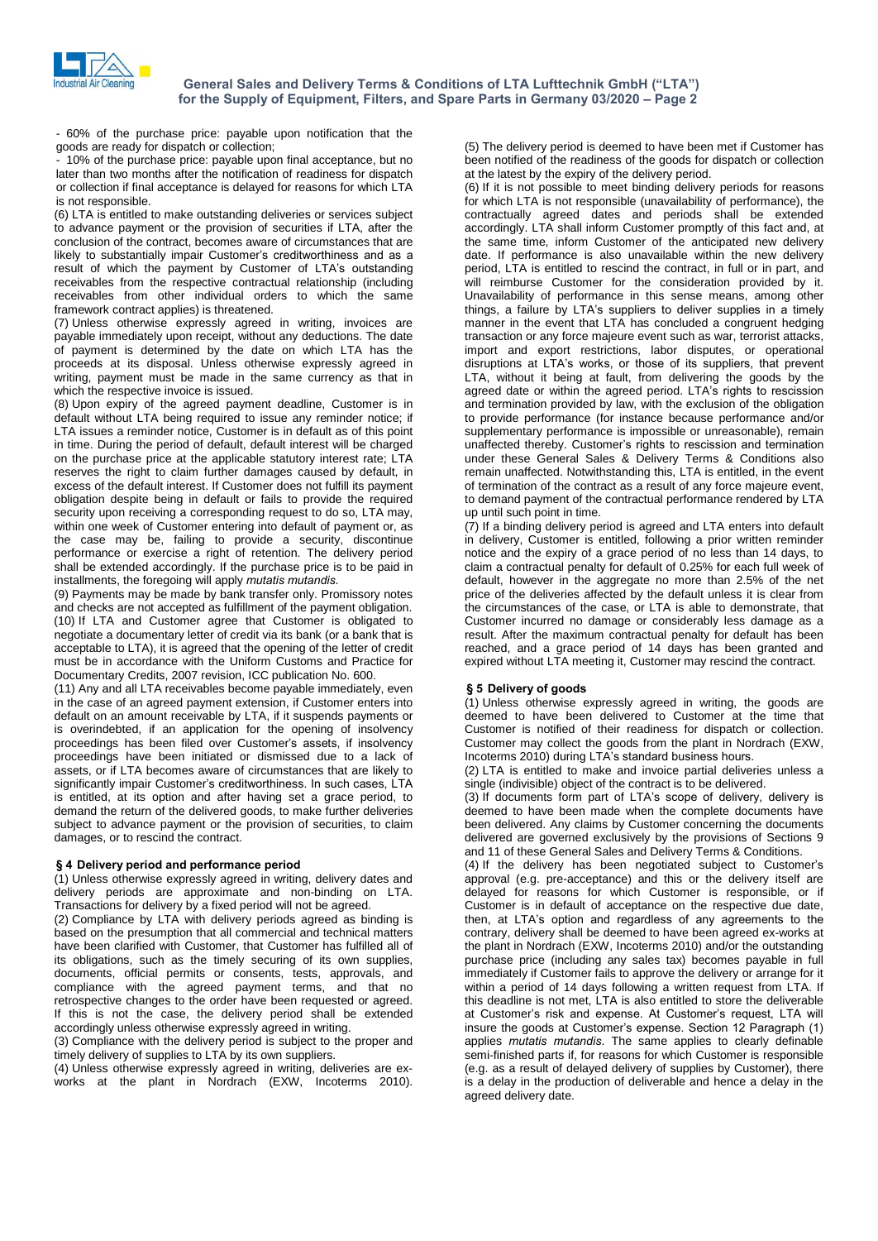

- 60% of the purchase price: payable upon notification that the goods are ready for dispatch or collection;

- 10% of the purchase price: payable upon final acceptance, but no later than two months after the notification of readiness for dispatch or collection if final acceptance is delayed for reasons for which LTA is not responsible.

(6) LTA is entitled to make outstanding deliveries or services subject to advance payment or the provision of securities if LTA, after the conclusion of the contract, becomes aware of circumstances that are (b) and the provision of securities if LTA, after the conclusion of the contract, becomes aware of circumstances that are conclusion of the contract, becomes aware of circumstances that are likely to substantially impair C conclusion of the contract, becomes aware of circumstances that are<br>likely to substantially impair Customer's creditworthiness and as a<br>result of which the payment by Customer of LTA's outstanding receivables from the respective contractual relationship (including receivables from other individual orders to which the same framework contract applies) is threatened.

(7) Unless otherwise expressly agreed in writing, invoices are payable immediately upon receipt, without any deductions. The date of payment is determined by the date on which LTA has the proceeds at its disposal. Unless otherwise expressly agreed in writing, payment must be made in the same currency as that in which the respective invoice is issued.

(8) Upon expiry of the agreed payment deadline, Customer is in default without LTA being required to issue any reminder notice; if LTA issues a reminder notice, Customer is in default as of this point in time. During the period of default, default interest will be charged on the purchase price at the applicable statutory interest rate; LTA reserves the right to claim further damages caused by default, in excess of the default interest. If Customer does not fulfill its payment obligation despite being in default or fails to provide the required security upon receiving a corresponding request to do so, LTA may, within one week of Customer entering into default of payment or, as the case may be, failing to provide a security, discontinue performance or exercise a right of retention. The delivery period<br>shall be extended accordingly. If the purchase price is to be paid in<br>installments, the foregoing will apply *mutatis mutandis*. shall be extended accordingly. If the purchase price is to be paid in installments, the foregoing will apply *mutatis mutandis*.

(9) Payments may be made by bank transfer only. Promissory notes and checks are not accepted as fulfillment of the payment obligation. (10) If LTA and Customer agree that Customer is obligated to negotiate a documentary letter of credit via its bank (or a bank that is acceptable to LTA), it is agreed that the opening of the letter of credit must be in accordance with the Uniform Customs and Practice for Documentary Credits, 2007 revision, ICC publication No. 600.

(11) Any and all LTA receivables become payable immediately, even in the case of an agreed payment extension, if Customer enters into default on an amount receivable by LTA, if it suspends payments or<br>is overindebted, if an application for the opening of insolvency<br>proceedings has been filed over Customer's assets, if insolvency is overindebted, if an application for the opening of insolvency proceedings have been initiated or dismissed due to a lack of assets, or if LTA becomes aware of circumstances that are likely to proceedings has been filed over Customer's assets, if insolvency proceedings have been initiated or dismissed due to a lack of assets, or if LTA becomes aware of circumstances that are likely to significantly impair Custom is entitled, at its option and after having set a grace period, to demand the return of the delivered goods, to make further deliveries subject to advance payment or the provision of securities, to claim damages, or to rescind the contract. **ß**

## **<sup>4</sup> Delivery period and performance period**

(1) Unless otherwise expressly agreed in writing, delivery dates and delivery periods are approximate and non-binding on LTA. Transactions for delivery by a fixed period will not be agreed.

(2) Compliance by LTA with delivery periods agreed as binding is based on the presumption that all commercial and technical matters have been clarified with Customer, that Customer has fulfilled all of its obligations, such as the timely securing of its own supplies, documents, official permits or consents, tests, approvals, and compliance with the agreed payment terms, and that no retrospective changes to the order have been requested or agreed. If this is not the case, the delivery period shall be extended accordingly unless otherwise expressly agreed in writing.

(3) Compliance with the delivery period is subject to the proper and timely delivery of supplies to LTA by its own suppliers.

(4) Unless otherwise expressly agreed in writing, deliveries are ex works at the plant in Nordrach (EXW, Incoterms 2010).

(5) The delivery period is deemed to have been met if Customer has been notified of the readiness of the goods for dispatch or collection at the latest by the expiry of the delivery period.

(6) If it is not possible to meet binding delivery periods for reasons for which LTA is not responsible (unavailability of performance), the contractually agreed dates and periods shall be extended accordingly. LTA shall inform Customer promptly of this fact and, at the same time, inform Customer of the anticipated new delivery date. If performance is also unavailable within the new delivery period, LTA is entitled to rescind the contract, in full or in part, and will reimburse Customer for the consideration provided by it. Unavailability of performance in this sense means, among other things, a failure by LTA's suppliers to deliver supplies in a timely manner in the event that LTA has concluded a congruent hedging transaction or any force majeure event such as war, terrorist attacks, import and export restrictions, labor disputes, or operational disruptions at LTAís works, or those of its suppliers, that prevent LTA, without it being at fault, from delivering the goods by the agreed date or within the agreed period. LTA's rights to rescission and termination provided by law, with the exclusion of the obligation to provide performance (for instance because performance and/or supplementary performance is impossible or unreasonable), remain unaffected thereby. Customer's rights to rescission and termination under these General Sales & Delivery Terms & Conditions also remain unaffected. Notwithstanding this, LTA is entitled, in the event of termination of the contract as a result of any force majeure event, to demand payment of the contractual performance rendered by LTA up until such point in time.

(7) If a binding delivery period is agreed and LTA enters into default in delivery, Customer is entitled, following a prior written reminder notice and the expiry of a grace period of no less than 14 days, to claim a contractual penalty for default of 0.25% for each full week of default, however in the aggregate no more than 2.5% of the net price of the deliveries affected by the default unless it is clear from the circumstances of the case, or LTA is able to demonstrate, that Customer incurred no damage or considerably less damage as a result. After the maximum contractual penalty for default has been reached, and a grace period of 14 days has been granted and expired without LTA meeting it, Customer may rescind the contract. **ß <sup>5</sup> Delivery of goods**

(1) Unless otherwise expressly agreed in writing, the goods are deemed to have been delivered to Customer at the time that Customer is notified of their readiness for dispatch or collection. Customer may collect the goods from the plant in Nordrach (EXW, Incoterms 2010) during LTAís standard business hours.

(2) LTA is entitled to make and invoice partial deliveries unless a single (indivisible) object of the contract is to be delivered.<br>(3) If documents form part of LTA's scope of delivery, delivery is single (indivisible) object of the contract is to be delivered.

deemed to have been made when the complete documents have been delivered. Any claims by Customer concerning the documents delivered are governed exclusively by the provisions of Sections 9 and 11 of these General Sales and Delivery Terms & Conditions. delivered are governed exclusively by the provisions of Sections 9<br>and 11 of these General Sales and Delivery Terms & Conditions.<br>(4) If the delivery has been negotiated subject to Customer's

approval (e.g. pre-acceptance) and this or the delivery itself are delayed for reasons for which Customer is responsible, or if Customer is in default of acceptance on the respective due date, delayed for reasons for which Customer is responsible, or if<br>Customer is in default of acceptance on the respective due date,<br>then, at LTA's option and regardless of any agreements to the contrary, delivery shall be deemed to have been agreed ex-works at the plant in Nordrach (EXW, Incoterms 2010) and/or the outstanding purchase price (including any sales tax) becomes payable in full immediately if Customer fails to approve the delivery or arrange for it within a period of 14 days following a written request from LTA. If this deadline is not met, LTA is also entitled to store the deliverable within a period of 14 days following a written request from LTA. If<br>this deadline is not met, LTA is also entitled to store the deliverable<br>at Customer's risk and expense. At Customer's request, LTA will insure the goods at Customerís and expense. At Customer's request, LTA will insure the goods at Customer's expense. Section 12 Paragraph (1) at Customer's risk and expense. At Customer's request, LTA will insure the goods at Customer's expense. Section 12 Paragraph (1) applies *mutatis mutandis*. The same applies to clearly definable semi-finished parts if, for reasons for which Customer is responsible (e.g. as a result of delayed delivery of supplies by Customer), there is a delay in the production of deliverable and hence a delay in the agreed delivery date.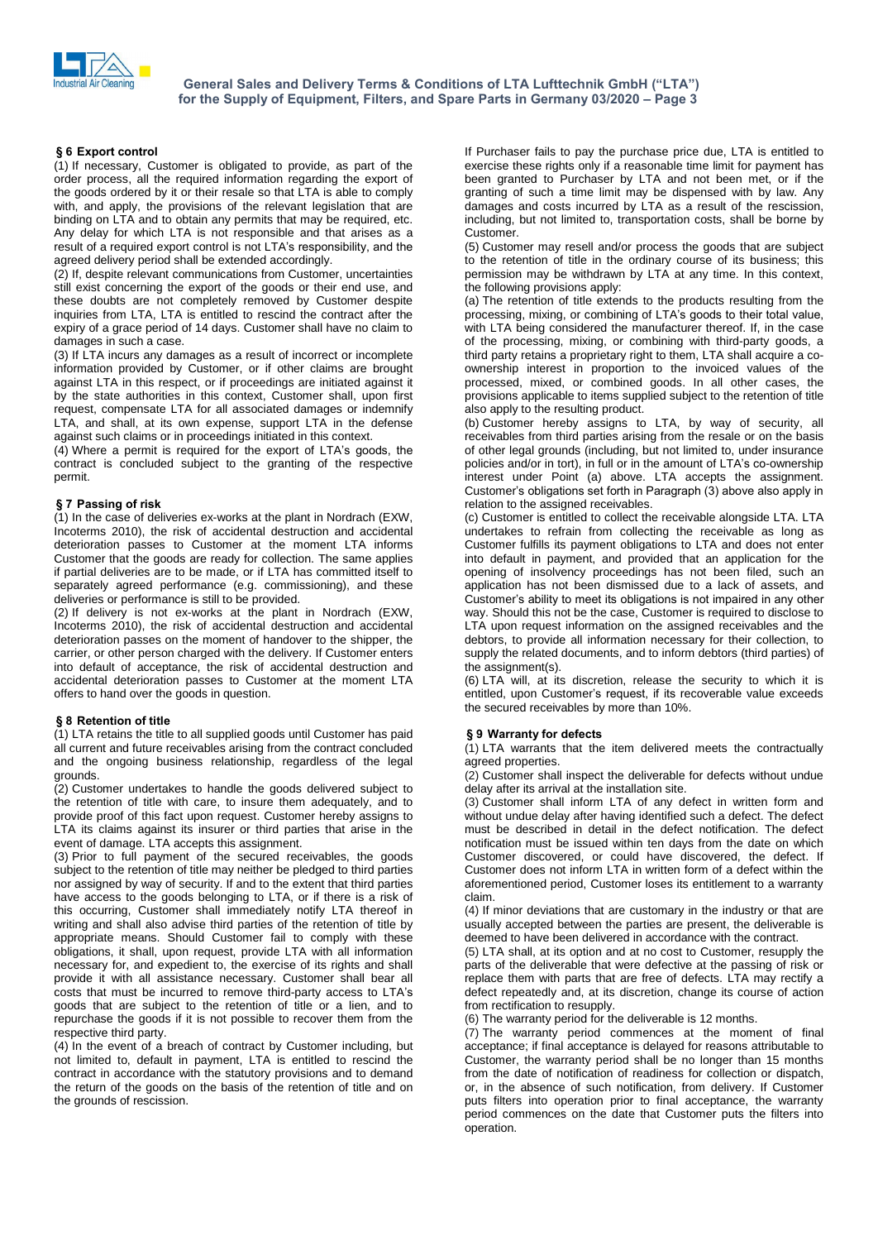

# **<sup>6</sup> Export control**

(1) If necessary, Customer is obligated to provide, as part of the order process, all the required information regarding the export of the goods ordered by it or their resale so thatLTA is able to comply with, and apply, the provisions of the relevant legislation that are binding on LTA and to obtain any permits that may be required, etc. Any delay for which LTA is not responsible and that arises as a binding on LTA and to obtain any permits that may be required, etc.<br>Any delay for which LTA is not responsible and that arises as a<br>result of a required export control is not LTA's responsibility, and the agreed delivery period shall be extended accordingly.

(2) If, despite relevant communications from Customer, uncertainties still exist concerning the export of the goods or their end use, and these doubts are not completely removed by Customer despite inquiries from LTA, LTA is entitled to rescind the contract after the expiry of a grace period of 14 days. Customer shall have no claim to damages in such a case.

(3) If LTA incurs any damages as a result of incorrect or incomplete information provided by Customer, or if other claims are brought against LTA in this respect, or if proceedings are initiated against it by the state authorities in this context, Customer shall, upon first request, compensate LTA for all associated damages or indemnify LTA, and shall, at its own expense, support LTA in the defense<br>against such claims or in proceedings initiated in this context.<br>(4) Where a permit is required for the export of LTA's goods, the against such claims or in proceedings initiated in this context.

contract is concluded subject to the granting of the respective permit. **ß**

# **<sup>7</sup> Passing of risk**

(1) In the case of deliveries ex-works at the plant in Nordrach (EXW, Incoterms 2010), the risk of accidental destruction and accidental deterioration passes to Customer at the moment LTA informs Customer that the goods are ready for collection. The same applies if partial deliveries are to be made, or if LTA has committed itself to separately agreed performance (e.g. commissioning), and these deliveries or performance is still to be provided.

(2) If delivery is not ex-works at the plant in Nordrach (EXW, Incoterms 2010), the risk of accidental destruction and accidental deterioration passes on the moment of handover to the shipper, the carrier, or other person charged with the delivery. If Customer enters into default of acceptance, the risk of accidental destruction and offers to hand over the goods in question. **ß <sup>8</sup> Retention of title**

(1) LTA retains the title to all supplied goods until Customer has paid all current and future receivables arising from the contract concluded and the ongoing business relationship, regardless of the legal grounds.

(2) Customer undertakes to handle the goods delivered subject to the retention of title with care, to insure them adequately, and to provide proof of this fact upon request. Customer hereby assigns to LTA its claims against its insurer or third parties that arise in the event of damage. LTA accepts this assignment.

(3) Prior to full payment of the secured receivables, the goods subject to the retention of title may neither be pledged to third parties nor assigned by way of security. If and to the extent that third parties have access to the goods belonging to LTA, or if there is a risk of this occurring, Customer shall immediately notify LTA thereof in writing and shall also advise third parties of the retention of title by appropriate means. Should Customer fail to comply with these obligations, it shall, upon request, provide LTA with all information necessary for, and expedient to, the exercise of its rights and shall provide it with all assistance necessary. Customer shall bear all encessary for, and expedient to, the exercise of its rights and shall provide it with all assistance necessary. Customer shall bear all costs that must be incurred to remove third-party access to LTA's goods that are subject to the retention of title or a lien, and to repurchase the goods if it is not possible to recover them from the respective third party.

(4) In the event of a breach of contract by Customer including, but not limited to, default in payment, LTA is entitled to rescind the contract in accordance with the statutory provisions and to demand the return of the goods on the basis of the retention of title and on the grounds of rescission.

If Purchaser fails to pay the purchase price due, LTA is entitled to exercise these rights only if a reasonable time limit for payment has been granted to Purchaser by LTA and not been met, or if the granting of such a time limit may be dispensed with by law. Any damages and costs incurred by LTA as a result of the rescission, including, but not limited to, transportation costs, shall be borne by Customer.

(5) Customer may resell and/or process the goods that are subject to the retention of title in the ordinary course of its business; this permission may be withdrawn by LTA at any time. In this context, the following provisions apply:

(a) The retention of title extends to the products resulting from the processing, mixing, or combining of LTA<sup> $\cdot$ </sup>s and the following provisions apply:<br>(a) The retention of title extends to the products resulting from the processing, mixing, or combining of LTA's goods to their total value with LTA being considered the manufacturer thereof. If, in the case of the processing, mixing, or combining with third-party goods, a third party retains <sup>a</sup> proprietary right to them, LTA shall acquire <sup>a</sup> co-ownership interest in proportion to the invoiced values of the processed, mixed, or combined goods. In all other cases, the provisions applicable to items supplied subject to the retention of title also apply to the resulting product.

(b) Customer hereby assigns to LTA, by way of security, all receivables from third parties arising from the resale or on the basis of other legal grounds (including, but not limited to, under insurance policies and/or in tort), in full or in the amount of LTA's co-ownership of other legal grounds (including, but not limited to, under insurance interest under Point (a) above. LTA accepts the assignment. policies and/or in tort), in full or in the amount of LTA's co-ownership<br>interest under Point (a) above. LTA accepts the assignment.<br>Customer's obligations set forth in Paragraph (3) above also apply in relation to the assigned receivables.

(c) Customer is entitled to collect the receivable alongside LTA. LTA undertakes to refrain from collecting the receivable as long as Customer fulfills its payment obligations to LTA and does not enter into default in payment, and provided that an application for the opening of insolvency proceedings has not been filed, such an application has not been dismissed due to a lack of assets, and Customer's ability to meet its obligations is not impaired in any other application has not been dismissed due to a lack of assets, and Customer's ability to meet its obligations is not impaired in any other way. Should this not be the case, Customer is required to disclose to LTA upon request information on the assigned receivables and the debtors, to provide all information necessary for their collection, to supply the related documents, and to inform debtors (third parties) of the assignment(s).

accidental deterioration passes to Customer at the moment LTA (6) LTA will, at its discretion, release the security to which it is<br>offers to hand over the goods in question. entitled, upon Customer's request, if its recove (6) LTA will, at its discretion, release the security to which it is entitled, upon Customerís request, if its recoverable value exceeds<br>(6) LTA will, at its discretion, release the security to which it is<br>entitled, upon Customer's request, if its recoverable value exceeds the secured receivables by more than 10%. **ß <sup>9</sup> Warranty for defects**

(1) LTA warrants that the item delivered meets the contractually agreed properties.

(2) Customer shall inspect the deliverable for defects without undue

delay after its arrival at the installation site.<br>(3) Customer shall inform LTA of any defect in written form and without undue delay after having identified such a defect. The defect must be described in detail in the defect notification. The defect notification must be issued within ten days from the date on which Customer discovered, or could have discovered, the defect. If Customer does not inform LTA in written form of a defect within the aforementioned period, Customer loses its entitlement to a warranty claim.

(4) If minor deviations that are customary in the industry or that are usually accepted between the parties are present, the deliverable is deemed to have been delivered in accordance with the contract.

(5) LTA shall, at its option and at no cost to Customer, resupply the parts of the deliverable that were defective at the passing of risk or replace them with parts that are free of defects. LTA may rectify a defect repeatedly and, at its discretion, change its course of action from rectification to resupply.

(6) The warranty period for the deliverable is 12 months.

(7) The warranty period commences at the moment of final acceptance; if final acceptance is delayed for reasons attributable to Customer, the warranty period shall be no longer than 15 months from the date of notification of readiness for collection or dispatch, or, in the absence of such notification, from delivery. If Customer puts filters into operation prior to final acceptance, the warranty period commences on the date that Customer puts the filters into operation.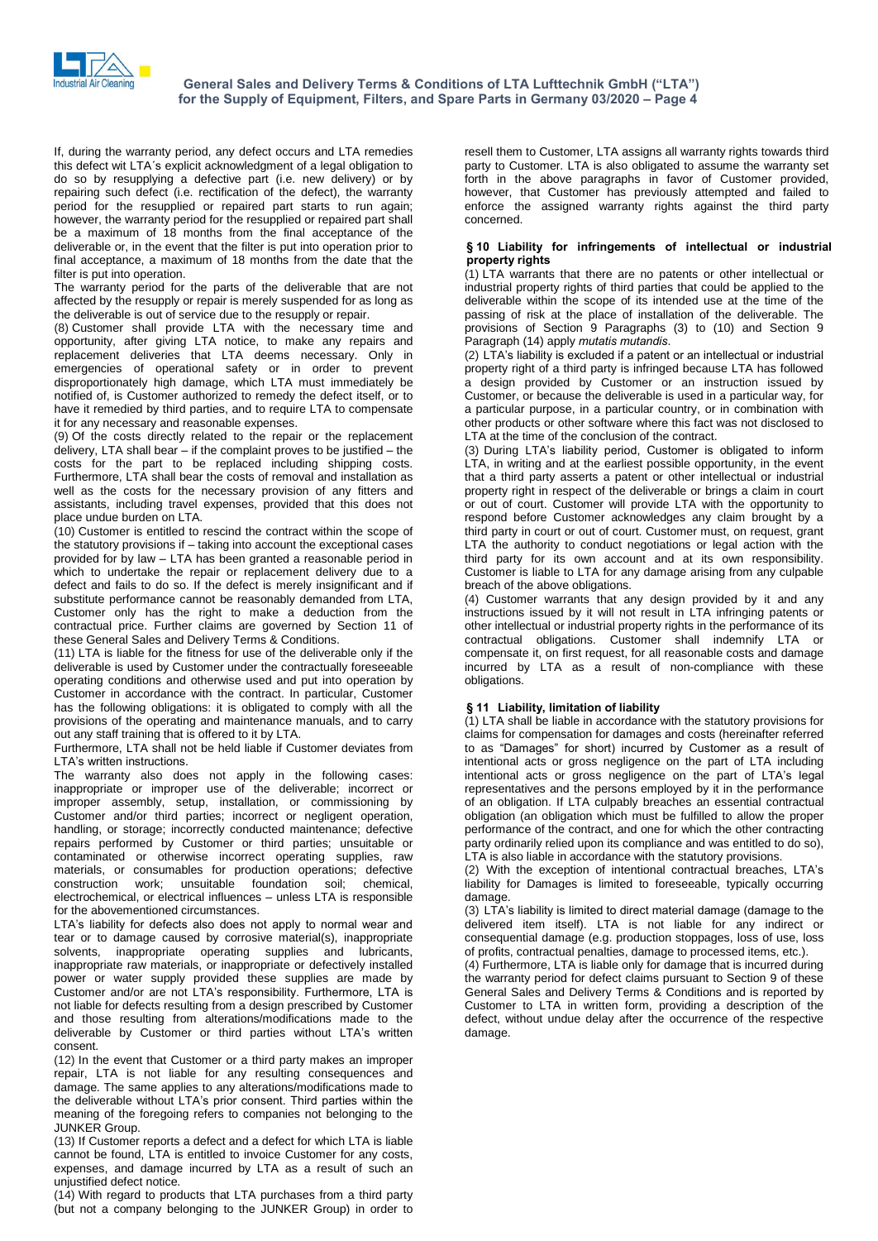

If, during the warranty period, any defect occurs and LTA remedies this defect wit LTA's explicit acknowledgment of a legal obligation to do so by resupplying a defective part (i.e. new delivery) or by repairing such defect (i.e. rectification of the defect), the warranty period for the resupplied or repaired part starts to run again; however, the warranty period for the resupplied or repaired part shall be a maximum of 18 months from the final acceptance of the deliverable or, in the event that the filter is put into operation prior to final acceptance, a maximum of 18 months from the date that the filter is put into operation.

The warranty period for the parts of the deliverable that are not affected by the resupply or repair is merely suspended for as long as the deliverable is out of service due to the resupply or repair.

(8) Customer shall provide LTA with the necessary time and opportunity, after giving LTA notice, to make any repairs and replacement deliveries that LTA deems necessary. Only in emergencies of operational safety or in order to prevent disproportionately high damage, which LTA must immediately be notified of, is Customer authorized to remedy the defect itself, or to have it remedied by third parties, and to require LTA to compensate it for any necessary and reasonable expenses.

(9) Of the costs directly related to the repair or the replacement delivery, LTA shall bear not result to the complete state of the completed it for any necessary and reasonable expenses.<br>(9) Of the costs directly related to the repair or the replacement delivery, LTA shall bear – if the costs for the part to be replaced including shipping costs. Furthermore, LTA shall bear the costs of removal and installation as well as the costs for the necessary provision of any fitters and assistants, including travel expenses, provided that this does not place undue burden on LTA.

(10) Customer is entitled to rescind the contract within the scope of place undue burden on LTA.<br>(10) Customer is entitled to rescind the contract within the scope of<br>the statutory provisions if – taking into account the exceptional cases (10) Customer is entitled to rescind the contract within the scope of the statutory provisions if  $-$  taking into account the exceptional cases provided for by law  $-$  LTA has been granted a reasonable period in which to undertake the repair or replacement delivery due to a defect and fails to do so. If the defect is merely insignificant and if substitute performance cannot be reasonably demanded from LTA, Customer only has the right to make a deduction from the contractual price. Further claims are governed by Section 11 of these General Sales and Delivery Terms & Conditions.

(11) LTA is liable for the fitness for use of the deliverable only if the deliverable is used by Customer under the contractually foreseeable operating conditions and otherwise used and put into operation by Customer in accordance with the contract. In particular, Customer has the following obligations: it is obligated to comply with all the provisions of the operating and maintenance manuals, and to carry out any staff training that is offered to it by LTA.

Furthermore, LTA shall not be held liable if Customer deviates from processes and the instructions of<br>out any staff training that is off<br>Furthermore, LTA shall not be<br>LTA's written instructions.

The warranty also does not apply in the following cases: inappropriate or improper use of the deliverable; incorrect or improper assembly, setup, installation, or commissioning by Customer and/or third parties; incorrect or negligent operation, handling, or storage; incorrectly conducted maintenance; defective repairs performed by Customer or third parties; unsuitable or contaminated or otherwise incorrect operating supplies, raw materials, or consumables for production operations; defective<br>construction work; unsuitable foundation soil; chemical,<br>electrochemical, or electrical influences – unless LTA is responsible construction work; unsuitable foundation soil; chemical, for the abovementioned circumstances. electrochemical, or electrical influences – unless LTA is responsible for the abovementioned circumstances.<br>LTA's liability for defects also does not apply to normal wear and

tear or to damage caused by corrosive material(s), inappropriate solvents, inappropriate operating supplies and lubricants, inappropriate raw materials, or inappropriate or defectively installed<br>power or water supply provided these supplies are made by<br>Customer and/or are not LTA's responsibility. Furthermore, LTA is power or water supply provided these supplies are made by Customer and/or are not LTA's responsibility. Furthermore, LTA is not liable for defects resulting from a design prescribed by Customer and those resulting from alterations/modifications made to the deliverable by Customer or third parties without LTA's written and those resulting from alterations/modifications made to the consent.

(12) In the event that Customer or a third party makes an improper repair, LTA is not liable for any resulting consequences and damage. The same applies to any alterations/modifications made to the deliverable without LTA's prior consent. Third parties within the damage. The same applies to any alterations/modifications made to meaning of the foregoing refers to companies not belonging to the JUNKER Group.

(13) If Customer reports a defect and a defect for which LTA is liable cannot be found, LTA is entitled to invoice Customer for any costs, expenses, and damage incurred by LTA as a result of such an unjustified defect notice.

(14) With regard to products that LTA purchases from a third party (but not a company belonging to the JUNKER Group) in order to resell them to Customer, LTA assigns all warranty rights towards third party to Customer. LTA is also obligated to assume the warranty set forth in the above paragraphs in favor of Customer provided, however, that Customer has previously attempted and failed to enforce the assigned warranty rights against the third party concerned. **ß<sup>10</sup> Liability for infringements of intellectual or industrial**

# **..**<br>bility for infri<br>rights

(1) LTA warrants that there are no patents or other intellectual or industrial property rights of third parties that could be applied to the deliverable within the scope of its intended use at the time of the passing of risk at the place of installation of the deliverable. The provisions of Section 9 Paragraphs (3) to (10) and Section 9 Passing of risk at the place of installation<br>provisions of Section 9 Paragraphs (3)<br>Paragraph (14) apply *mutatis mutandis*. provisions of Section 9 Paragraphs (3) to (10) and Section 9<br>Paragraph (14) apply *mutatis mutandis*.<br>(2) LTA's liability is excluded if a patent or an intellectual or industrial

property right of a third party is infringed because LTA has followed a design provided by Customer or an instruction issued by Customer, or because the deliverable is used in a particular way, for a particular purpose, in a particular country, or in combination with other products orother software where this fact was notdisclosed to (3) During LTAís liability period, Customer is obligated to inform LTA at the time of the conclusion of the contract.

LTA, in writing and at the earliest possible opportunity, in the event that a third party asserts a patent or other intellectual or industrial property right in respect of the deliverable or brings a claim in court or out of court. Customer will provide LTA with the opportunity to respond before Customer acknowledges any claim brought by a third party in court or out of court. Customer must, on request, grant LTA the authority to conduct negotiations or legal action with the third party for its own account and at its own responsibility. Customer is liable to LTA for any damage arising from any culpable breach of the above obligations.

(4) Customer warrants that any design provided by it and any instructions issued by it will not result in LTA infringing patents or other intellectual or industrial property rights in the performance of its contractual obligations. Customer shall indemnify LTA or compensate it, on first request, for all reasonable costs and damage incurred by LTA as a result of non-compliance with these obligations. **ß**

# **<sup>11</sup> Liability, limitation of liability**

(1) LTA shall be liable in accordance with the statutory provisions for claims for compensation for damages and costs (hereinafter referred (1) LTA shall be liable in accordance with the statutory provisions for claims for compensation for damages and costs (hereinafter referred to as "Damages" for short) incurred by Customer as a result of intentional acts or gross negligence on the part of LTA including to as "Damages" for short) incurred by Customer as a result of intentional acts or gross negligence on the part of LTA including intentional acts or gross negligence on the part of LTA's legal representatives and the persons employed by it in the performance of an obligation. If LTA culpably breaches an essential contractual obligation (an obligation which must be fulfilled to allow the proper performance of the contract, and one for which the other contracting party ordinarily relied upon its compliance and was entitled to do so), LTA is also liable in accordance with the statutory provisions.

(2) With the exception of intentional contractual breaches, LTAís liability for Damages is limited to foreseeable, typically occurring (3) LTAís liability is limited to direct material damage (damage to the damage.<br>(3) LTA's liability is limited to direct material damage (damage to the

delivered item itself). LTA is not liable for any indirect or consequential damage (e.g. production stoppages, loss of use, loss of profits, contractual penalties, damage to processed items, etc.).

(4) Furthermore, LTA is liable only for damage that is incurred during the warranty period for defect claims pursuant to Section 9 of these General Sales and Delivery Terms & Conditions and is reported by Customer to LTA in written form, providing a description of the defect, without undue delay after the occurrence of the respective damage.